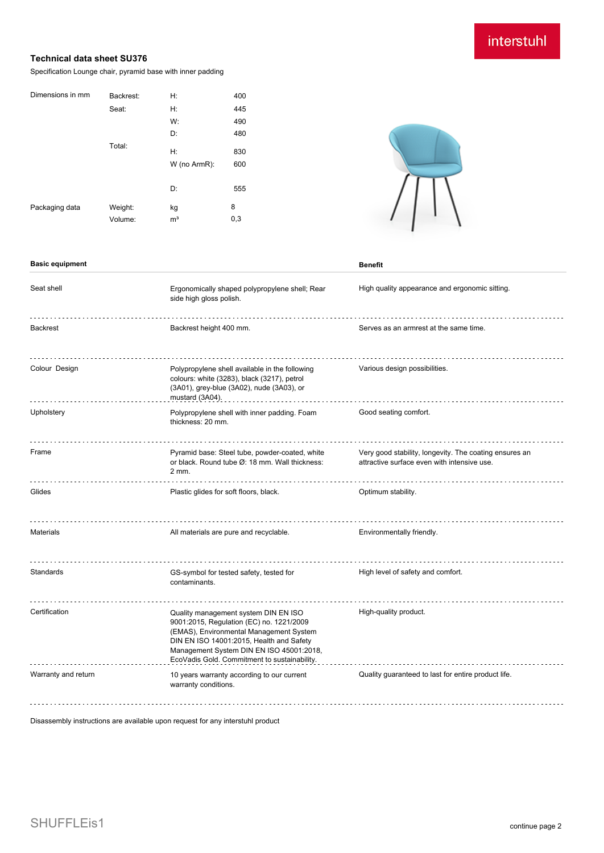# interstuhl

## **Technical data sheet SU376**

Specification Lounge chair, pyramid base with inner padding

| Dimensions in mm | Backrest: | H:             | 400 |
|------------------|-----------|----------------|-----|
|                  | Seat:     | Н:             | 445 |
|                  |           | W:             | 490 |
|                  |           | D:             | 480 |
|                  | Total:    | H:             | 830 |
|                  |           |                | 600 |
|                  |           | W (no ArmR):   |     |
|                  |           | D:             | 555 |
| Packaging data   | Weight:   | kg             | 8   |
|                  | Volume:   | m <sup>3</sup> | 0,3 |



### **Basic equipment Benefit**

| Seat shell          | Ergonomically shaped polypropylene shell; Rear<br>side high gloss polish.                                                                                                                                                                                           | High quality appearance and ergonomic sitting.                                                        |
|---------------------|---------------------------------------------------------------------------------------------------------------------------------------------------------------------------------------------------------------------------------------------------------------------|-------------------------------------------------------------------------------------------------------|
| <b>Backrest</b>     | Backrest height 400 mm.                                                                                                                                                                                                                                             | Serves as an armrest at the same time.                                                                |
| Colour Design       | Polypropylene shell available in the following<br>colours: white (3283), black (3217), petrol<br>(3A01), grey-blue (3A02), nude (3A03), or<br>mustard (3A04).                                                                                                       | Various design possibilities.                                                                         |
| Upholstery          | Polypropylene shell with inner padding. Foam<br>thickness: 20 mm.                                                                                                                                                                                                   | Good seating comfort.                                                                                 |
| Frame               | Pyramid base: Steel tube, powder-coated, white<br>or black. Round tube Ø: 18 mm. Wall thickness:<br>2 mm.                                                                                                                                                           | Very good stability, longevity. The coating ensures an<br>attractive surface even with intensive use. |
| Glides              | Plastic glides for soft floors, black.                                                                                                                                                                                                                              | Optimum stability.                                                                                    |
| <b>Materials</b>    | All materials are pure and recyclable.                                                                                                                                                                                                                              | Environmentally friendly.                                                                             |
| Standards           | GS-symbol for tested safety, tested for<br>contaminants.                                                                                                                                                                                                            | High level of safety and comfort.                                                                     |
| Certification       | Quality management system DIN EN ISO<br>9001:2015, Regulation (EC) no. 1221/2009<br>(EMAS), Environmental Management System<br>DIN EN ISO 14001:2015, Health and Safety<br>Management System DIN EN ISO 45001:2018,<br>EcoVadis Gold. Commitment to sustainability. | High-quality product.                                                                                 |
| Warranty and return | 10 years warranty according to our current<br>warranty conditions.                                                                                                                                                                                                  | Quality guaranteed to last for entire product life.                                                   |

Disassembly instructions are available upon request for any interstuhl product